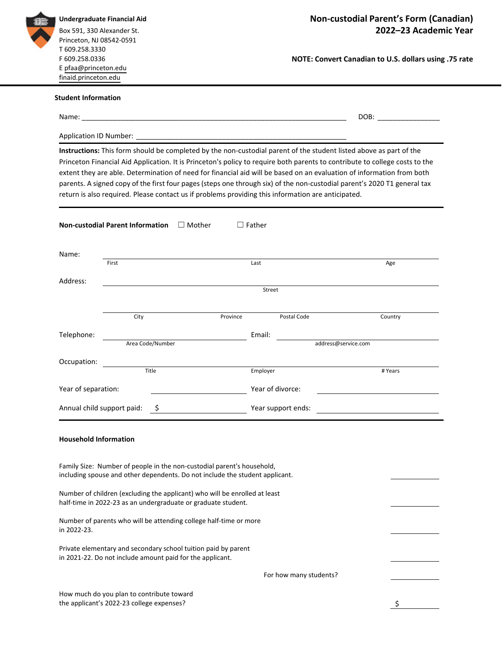| T 609.258.3330<br>F 609.258.0336<br>NOTE: Convert Canadian to U.S. dollars using .75 rate<br>E pfaa@princeton.edu<br>finaid.princeton.edu<br><b>Student Information</b><br>Name: Name: Name: Name: Name: Name: Name: Name: Name: Name: Name: Name: Name: Name: Name: Name: Name: Name: Name: Name: Name: Name: Name: Name: Name: Name: Name: Name: Name: Name: Name: Name: Name: Name: Name: Name: Name:<br>Instructions: This form should be completed by the non-custodial parent of the student listed above as part of the<br>Princeton Financial Aid Application. It is Princeton's policy to require both parents to contribute to college costs to the<br>extent they are able. Determination of need for financial aid will be based on an evaluation of information from both<br>parents. A signed copy of the first four pages (steps one through six) of the non-custodial parent's 2020 T1 general tax<br>return is also required. Please contact us if problems providing this information are anticipated.<br><b>Non-custodial Parent Information</b><br>$\Box$ Father<br>$\Box$ Mother<br>Name:<br>First<br>Last<br>Age<br>Address:<br>Street<br>Postal Code<br>City<br>Province<br>Country<br>Telephone:<br>Email:<br>address@service.com<br>Area Code/Number<br>Occupation:<br>Title<br>Employer<br># Years<br>Year of separation:<br>Year of divorce:<br>Annual child support paid:<br>- \$<br>Year support ends:<br><b>Household Information</b><br>Family Size: Number of people in the non-custodial parent's household,<br>including spouse and other dependents. Do not include the student applicant.<br>Number of children (excluding the applicant) who will be enrolled at least<br>half-time in 2022-23 as an undergraduate or graduate student.<br>Number of parents who will be attending college half-time or more<br>in 2022-23.<br>Private elementary and secondary school tuition paid by parent<br>in 2021-22. Do not include amount paid for the applicant.<br>For how many students? | Undergraduate Financial Aid<br>Box 591, 330 Alexander St.<br>Princeton, NJ 08542-0591 | Non-custodial Parent's Form (Canadian)<br>2022-23 Academic Year |  |  |  |  |
|---------------------------------------------------------------------------------------------------------------------------------------------------------------------------------------------------------------------------------------------------------------------------------------------------------------------------------------------------------------------------------------------------------------------------------------------------------------------------------------------------------------------------------------------------------------------------------------------------------------------------------------------------------------------------------------------------------------------------------------------------------------------------------------------------------------------------------------------------------------------------------------------------------------------------------------------------------------------------------------------------------------------------------------------------------------------------------------------------------------------------------------------------------------------------------------------------------------------------------------------------------------------------------------------------------------------------------------------------------------------------------------------------------------------------------------------------------------------------------------------------------------------------------------------------------------------------------------------------------------------------------------------------------------------------------------------------------------------------------------------------------------------------------------------------------------------------------------------------------------------------------------------------------------------------------------------------------------------------------------------------------------------------|---------------------------------------------------------------------------------------|-----------------------------------------------------------------|--|--|--|--|
|                                                                                                                                                                                                                                                                                                                                                                                                                                                                                                                                                                                                                                                                                                                                                                                                                                                                                                                                                                                                                                                                                                                                                                                                                                                                                                                                                                                                                                                                                                                                                                                                                                                                                                                                                                                                                                                                                                                                                                                                                           |                                                                                       |                                                                 |  |  |  |  |
|                                                                                                                                                                                                                                                                                                                                                                                                                                                                                                                                                                                                                                                                                                                                                                                                                                                                                                                                                                                                                                                                                                                                                                                                                                                                                                                                                                                                                                                                                                                                                                                                                                                                                                                                                                                                                                                                                                                                                                                                                           |                                                                                       |                                                                 |  |  |  |  |
|                                                                                                                                                                                                                                                                                                                                                                                                                                                                                                                                                                                                                                                                                                                                                                                                                                                                                                                                                                                                                                                                                                                                                                                                                                                                                                                                                                                                                                                                                                                                                                                                                                                                                                                                                                                                                                                                                                                                                                                                                           |                                                                                       |                                                                 |  |  |  |  |
|                                                                                                                                                                                                                                                                                                                                                                                                                                                                                                                                                                                                                                                                                                                                                                                                                                                                                                                                                                                                                                                                                                                                                                                                                                                                                                                                                                                                                                                                                                                                                                                                                                                                                                                                                                                                                                                                                                                                                                                                                           |                                                                                       |                                                                 |  |  |  |  |
|                                                                                                                                                                                                                                                                                                                                                                                                                                                                                                                                                                                                                                                                                                                                                                                                                                                                                                                                                                                                                                                                                                                                                                                                                                                                                                                                                                                                                                                                                                                                                                                                                                                                                                                                                                                                                                                                                                                                                                                                                           |                                                                                       |                                                                 |  |  |  |  |
|                                                                                                                                                                                                                                                                                                                                                                                                                                                                                                                                                                                                                                                                                                                                                                                                                                                                                                                                                                                                                                                                                                                                                                                                                                                                                                                                                                                                                                                                                                                                                                                                                                                                                                                                                                                                                                                                                                                                                                                                                           |                                                                                       |                                                                 |  |  |  |  |
|                                                                                                                                                                                                                                                                                                                                                                                                                                                                                                                                                                                                                                                                                                                                                                                                                                                                                                                                                                                                                                                                                                                                                                                                                                                                                                                                                                                                                                                                                                                                                                                                                                                                                                                                                                                                                                                                                                                                                                                                                           |                                                                                       |                                                                 |  |  |  |  |
|                                                                                                                                                                                                                                                                                                                                                                                                                                                                                                                                                                                                                                                                                                                                                                                                                                                                                                                                                                                                                                                                                                                                                                                                                                                                                                                                                                                                                                                                                                                                                                                                                                                                                                                                                                                                                                                                                                                                                                                                                           |                                                                                       |                                                                 |  |  |  |  |
|                                                                                                                                                                                                                                                                                                                                                                                                                                                                                                                                                                                                                                                                                                                                                                                                                                                                                                                                                                                                                                                                                                                                                                                                                                                                                                                                                                                                                                                                                                                                                                                                                                                                                                                                                                                                                                                                                                                                                                                                                           |                                                                                       |                                                                 |  |  |  |  |
|                                                                                                                                                                                                                                                                                                                                                                                                                                                                                                                                                                                                                                                                                                                                                                                                                                                                                                                                                                                                                                                                                                                                                                                                                                                                                                                                                                                                                                                                                                                                                                                                                                                                                                                                                                                                                                                                                                                                                                                                                           |                                                                                       |                                                                 |  |  |  |  |
|                                                                                                                                                                                                                                                                                                                                                                                                                                                                                                                                                                                                                                                                                                                                                                                                                                                                                                                                                                                                                                                                                                                                                                                                                                                                                                                                                                                                                                                                                                                                                                                                                                                                                                                                                                                                                                                                                                                                                                                                                           |                                                                                       |                                                                 |  |  |  |  |
|                                                                                                                                                                                                                                                                                                                                                                                                                                                                                                                                                                                                                                                                                                                                                                                                                                                                                                                                                                                                                                                                                                                                                                                                                                                                                                                                                                                                                                                                                                                                                                                                                                                                                                                                                                                                                                                                                                                                                                                                                           |                                                                                       |                                                                 |  |  |  |  |
|                                                                                                                                                                                                                                                                                                                                                                                                                                                                                                                                                                                                                                                                                                                                                                                                                                                                                                                                                                                                                                                                                                                                                                                                                                                                                                                                                                                                                                                                                                                                                                                                                                                                                                                                                                                                                                                                                                                                                                                                                           |                                                                                       |                                                                 |  |  |  |  |
|                                                                                                                                                                                                                                                                                                                                                                                                                                                                                                                                                                                                                                                                                                                                                                                                                                                                                                                                                                                                                                                                                                                                                                                                                                                                                                                                                                                                                                                                                                                                                                                                                                                                                                                                                                                                                                                                                                                                                                                                                           |                                                                                       |                                                                 |  |  |  |  |
|                                                                                                                                                                                                                                                                                                                                                                                                                                                                                                                                                                                                                                                                                                                                                                                                                                                                                                                                                                                                                                                                                                                                                                                                                                                                                                                                                                                                                                                                                                                                                                                                                                                                                                                                                                                                                                                                                                                                                                                                                           |                                                                                       |                                                                 |  |  |  |  |
|                                                                                                                                                                                                                                                                                                                                                                                                                                                                                                                                                                                                                                                                                                                                                                                                                                                                                                                                                                                                                                                                                                                                                                                                                                                                                                                                                                                                                                                                                                                                                                                                                                                                                                                                                                                                                                                                                                                                                                                                                           |                                                                                       |                                                                 |  |  |  |  |
|                                                                                                                                                                                                                                                                                                                                                                                                                                                                                                                                                                                                                                                                                                                                                                                                                                                                                                                                                                                                                                                                                                                                                                                                                                                                                                                                                                                                                                                                                                                                                                                                                                                                                                                                                                                                                                                                                                                                                                                                                           |                                                                                       |                                                                 |  |  |  |  |
|                                                                                                                                                                                                                                                                                                                                                                                                                                                                                                                                                                                                                                                                                                                                                                                                                                                                                                                                                                                                                                                                                                                                                                                                                                                                                                                                                                                                                                                                                                                                                                                                                                                                                                                                                                                                                                                                                                                                                                                                                           |                                                                                       |                                                                 |  |  |  |  |
|                                                                                                                                                                                                                                                                                                                                                                                                                                                                                                                                                                                                                                                                                                                                                                                                                                                                                                                                                                                                                                                                                                                                                                                                                                                                                                                                                                                                                                                                                                                                                                                                                                                                                                                                                                                                                                                                                                                                                                                                                           |                                                                                       |                                                                 |  |  |  |  |
|                                                                                                                                                                                                                                                                                                                                                                                                                                                                                                                                                                                                                                                                                                                                                                                                                                                                                                                                                                                                                                                                                                                                                                                                                                                                                                                                                                                                                                                                                                                                                                                                                                                                                                                                                                                                                                                                                                                                                                                                                           |                                                                                       |                                                                 |  |  |  |  |
| How much do you plan to contribute toward<br>the applicant's 2022-23 college expenses?                                                                                                                                                                                                                                                                                                                                                                                                                                                                                                                                                                                                                                                                                                                                                                                                                                                                                                                                                                                                                                                                                                                                                                                                                                                                                                                                                                                                                                                                                                                                                                                                                                                                                                                                                                                                                                                                                                                                    |                                                                                       |                                                                 |  |  |  |  |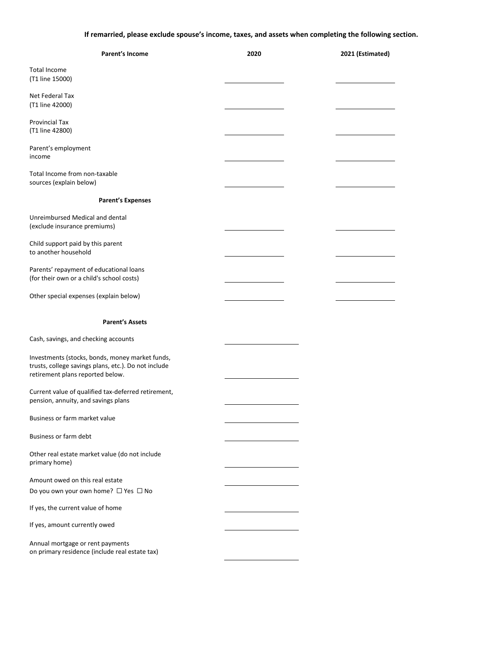If remarried, please exclude spouse's income, taxes, and assets when completing the following section.

| Parent's Income                                                                                                                             | 2020 | 2021 (Estimated) |
|---------------------------------------------------------------------------------------------------------------------------------------------|------|------------------|
| Total Income<br>(T1 line 15000)                                                                                                             |      |                  |
| Net Federal Tax<br>(T1 line 42000)                                                                                                          |      |                  |
| Provincial Tax<br>(T1 line 42800)                                                                                                           |      |                  |
| Parent's employment<br>income                                                                                                               |      |                  |
| Total Income from non-taxable<br>sources (explain below)                                                                                    |      |                  |
| <b>Parent's Expenses</b>                                                                                                                    |      |                  |
| Unreimbursed Medical and dental<br>(exclude insurance premiums)                                                                             |      |                  |
| Child support paid by this parent<br>to another household                                                                                   |      |                  |
| Parents' repayment of educational loans<br>(for their own or a child's school costs)                                                        |      |                  |
| Other special expenses (explain below)                                                                                                      |      |                  |
| <b>Parent's Assets</b>                                                                                                                      |      |                  |
| Cash, savings, and checking accounts                                                                                                        |      |                  |
| Investments (stocks, bonds, money market funds,<br>trusts, college savings plans, etc.). Do not include<br>retirement plans reported below. |      |                  |
| Current value of qualified tax-deferred retirement,<br>pension, annuity, and savings plans                                                  |      |                  |
| Business or farm market value                                                                                                               |      |                  |
| Business or farm debt                                                                                                                       |      |                  |
| Other real estate market value (do not include<br>primary home)                                                                             |      |                  |
| Amount owed on this real estate<br>Do you own your own home? □ Yes □ No                                                                     |      |                  |
| If yes, the current value of home                                                                                                           |      |                  |
| If yes, amount currently owed                                                                                                               |      |                  |
| Annual mortgage or rent payments<br>on primary residence (include real estate tax)                                                          |      |                  |